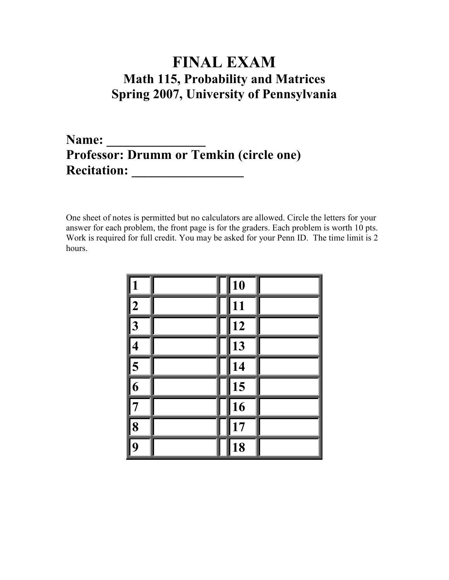## FINAL EXAM Math 115, Probability and Matrices Spring 2007, University of Pennsylvania

## Name: \_\_\_\_\_\_\_\_\_\_\_\_\_\_\_ Professor: Drumm or Temkin (circle one) Recitation: \_\_\_\_\_\_\_\_\_\_\_\_\_\_\_\_\_

One sheet of notes is permitted but no calculators are allowed. Circle the letters for your answer for each problem, the front page is for the graders. Each problem is worth 10 pts. Work is required for full credit. You may be asked for your Penn ID. The time limit is 2 hours.

|                         | $\overline{10}$ |  |
|-------------------------|-----------------|--|
| $\overline{2}$          | $\overline{11}$ |  |
| $\overline{3}$          | $\overline{12}$ |  |
| $\overline{\mathbf{4}}$ | $\overline{13}$ |  |
| $\sqrt{5}$              | $\overline{14}$ |  |
| $\overline{6}$          | $\sqrt{15}$     |  |
|                         | $\overline{16}$ |  |
| 8                       | $\overline{17}$ |  |
| 9                       | 18              |  |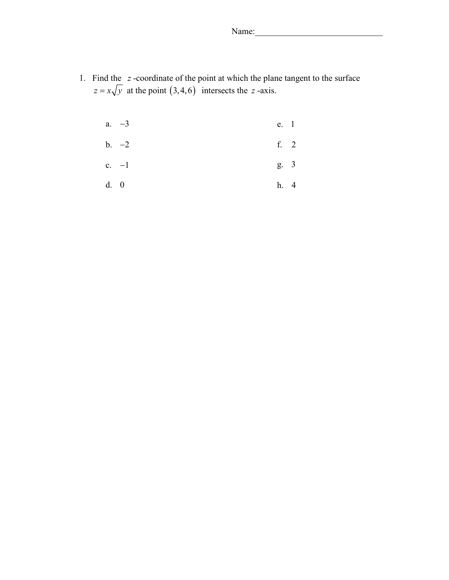Name:

1. Find the  $z$ -coordinate of the point at which the plane tangent to the surface  $z = x\sqrt{y}$  at the point  $(3, 4, 6)$  intersects the z-axis.

|      | a. $-3$ | e. 1 |  |
|------|---------|------|--|
|      | $b. -2$ | f. 2 |  |
|      | c. $-1$ | g. 3 |  |
| d. 0 |         | h. 4 |  |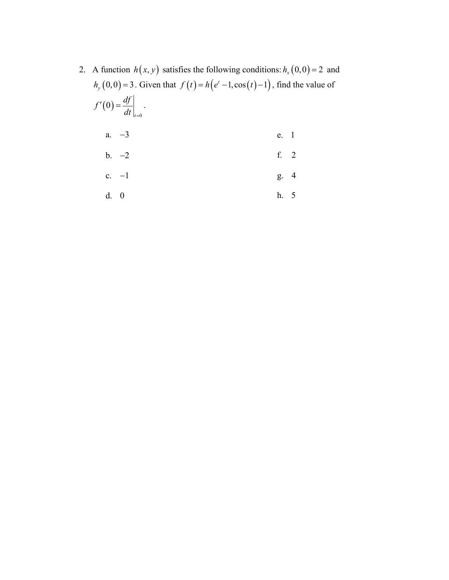2. A function  $h(x, y)$  satisfies the following conditions:  $h_x(0, 0) = 2$  and  $h_y(0,0) = 3$ . Given that  $f(t) = h(e^t - 1, \cos(t) - 1)$ , find the value of  $(0)$ 0 0 t  $f'(0) = \frac{df}{dt}$  $dt\big|_{t=}$  $' (0) = \frac{dy}{dx}$ . a.  $-3$ b. −2 c. −1 e. 1 f. 2 g. 4

$$
d. \quad 0 \qquad \qquad h. \quad 5
$$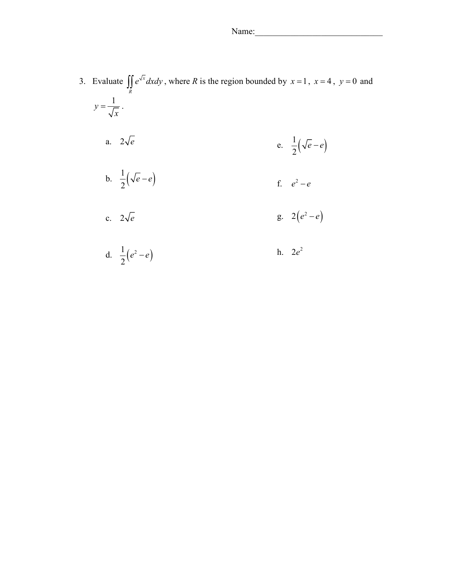3. Evaluate  $\int e^{\sqrt{x}}$  $\iint_R e^{\sqrt{x}} dx dy$ , where R is the region bounded by  $x = 1$ ,  $x = 4$ ,  $y = 0$  and  $y=\frac{1}{\sqrt{2}}$ x  $=\frac{1}{\sqrt{2}}$ . a.  $2\sqrt{e}$ b.  $\frac{1}{2}(\sqrt{e}-e)$ 2  $e - e$ c.  $2\sqrt{e}$ d.  $\frac{1}{2} (e^2 - e)$  $e^2 - e$ e.  $\frac{1}{2}(\sqrt{e}-e)$ 2  $e - e$ f.  $e^2 - e$ g.  $2(e^2-e)$ h.  $2e^2$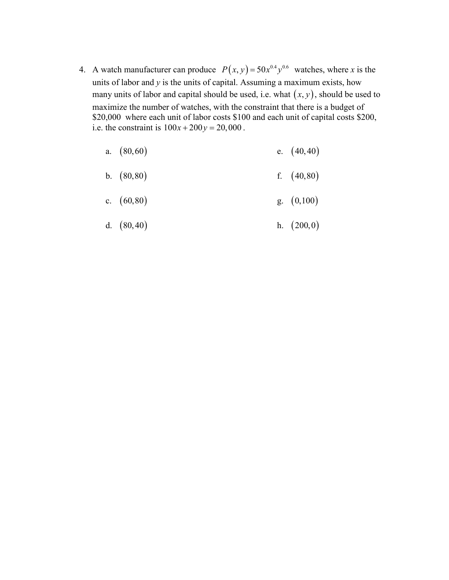4. A watch manufacturer can produce  $P(x, y) = 50x^{0.4}y^{0.6}$  watches, where x is the units of labor and  $y$  is the units of capital. Assuming a maximum exists, how many units of labor and capital should be used, i.e. what  $(x, y)$ , should be used to maximize the number of watches, with the constraint that there is a budget of \$20,000 where each unit of labor costs \$100 and each unit of capital costs \$200, i.e. the constraint is  $100x + 200y = 20,000$ .

|  | a. $(80, 60)$ |  | e. $(40, 40)$ |  |
|--|---------------|--|---------------|--|
|--|---------------|--|---------------|--|

b. (80,80) f. (40,80)

c. 
$$
(60,80)
$$
 g.  $(0,100)$ 

d. 
$$
(80,40)
$$
 h.  $(200,0)$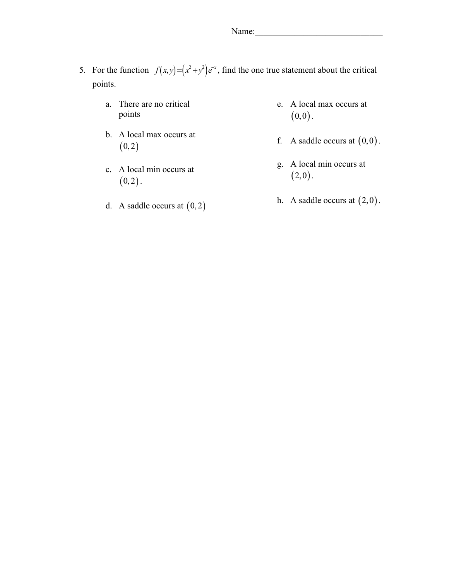- 5. For the function  $f(x, y) = (x^2 + y^2)e^{-x}$ , find the one true statement about the critical points.
	- a. There are no critical points
	- b. A local max occurs at  $(0, 2)$
	- c. A local min occurs at  $(0, 2)$ .
	- d. A saddle occurs at  $(0, 2)$
- e. A local max occurs at  $(0,0)$ .
- f. A saddle occurs at  $(0,0)$ .
- g. A local min occurs at  $(2,0)$ .
- h. A saddle occurs at  $(2,0)$ .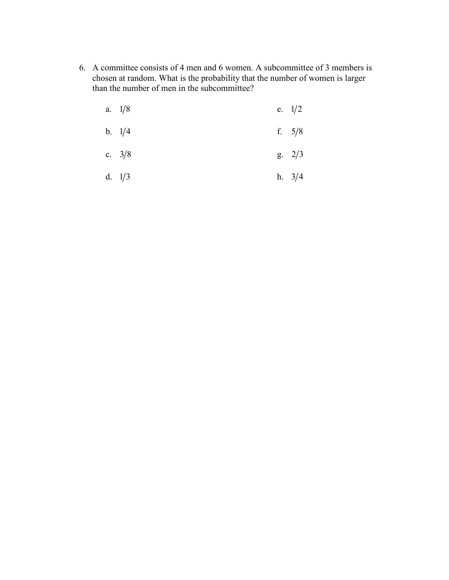6. A committee consists of 4 men and 6 women. A subcommittee of 3 members is chosen at random. What is the probability that the number of women is larger than the number of men in the subcommittee?

| a. $1/8$ | e. $1/2$ |
|----------|----------|
|          |          |

- b.  $1/4$ f.  $5/8$
- c.  $3/8$  $g. \quad 2/3$
- d.  $1/3$ h.  $3/4$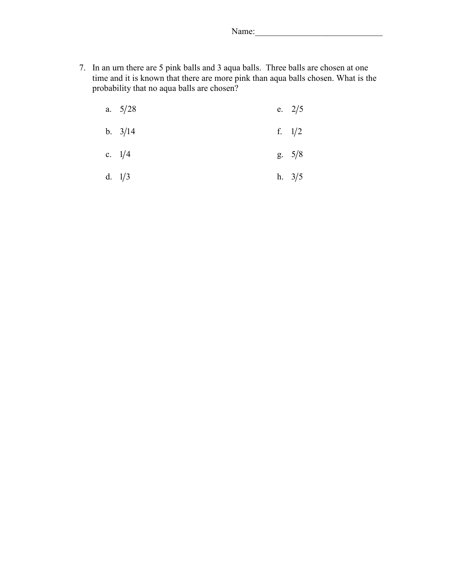Name:

7. In an urn there are 5 pink balls and 3 aqua balls. Three balls are chosen at one time and it is known that there are more pink than aqua balls chosen. What is the probability that no aqua balls are chosen?

| a. $5/28$ | e. $2/5$ |
|-----------|----------|
| b. $3/14$ | f. $1/2$ |
| c. $1/4$  | g. 5/8   |

d.  $1/3$ h.  $3/5$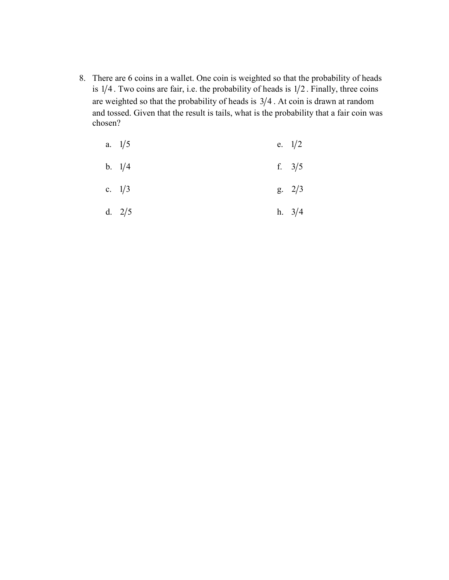8. There are 6 coins in a wallet. One coin is weighted so that the probability of heads is  $1/4$ . Two coins are fair, i.e. the probability of heads is  $1/2$ . Finally, three coins are weighted so that the probability of heads is  $3/4$ . At coin is drawn at random and tossed. Given that the result is tails, what is the probability that a fair coin was chosen?

| a. $1/5$ | e. $1/2$       |
|----------|----------------|
| b. $1/4$ | f. $3/5$       |
| c. $1/3$ | $g. \quad 2/3$ |
| d. $2/5$ | h. $3/4$       |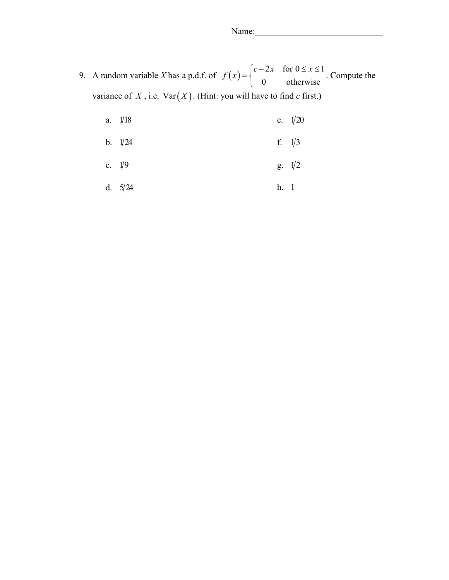9. A random variable X has a p.d.f. of  $f(x) = \begin{cases} c - 2x & \text{for } 0 \le x \le 1 \\ 0 & \text{otherwise} \end{cases}$ . 0 otherwise  $f(x) = \begin{cases} c - 2x & \text{for } 0 \leq x \leq 0 \\ 0 & \text{otherwise} \end{cases}$  $\overline{\mathcal{L}}$ . Compute the variance of  $X$ , i.e.  $Var(X)$ . (Hint: you will have to find c first.)

| a. $1/18$ |      | e. $1/20$      |
|-----------|------|----------------|
| b. $1/24$ |      | f. $1/3$       |
| c. $1/9$  |      | $g. \quad 1/2$ |
| d. $5/24$ | h. 1 |                |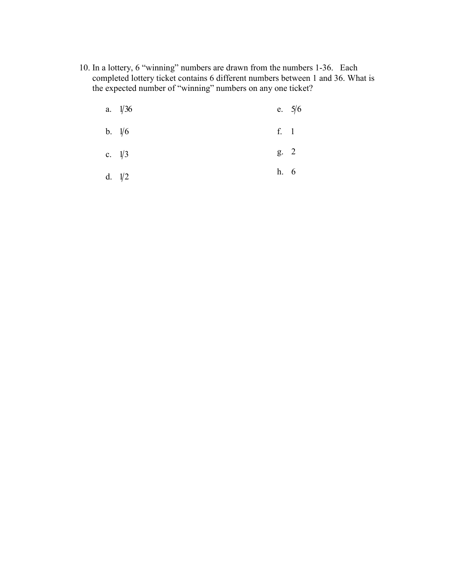10. In a lottery, 6 "winning" numbers are drawn from the numbers 1-36. Each completed lottery ticket contains 6 different numbers between 1 and 36. What is the expected number of "winning" numbers on any one ticket?

| a. $1/36$ |      | e. $5/6$ |
|-----------|------|----------|
| b. $1/6$  | f. 1 |          |
| c. $1/3$  | g. 2 |          |
| d. $1/2$  | h. 6 |          |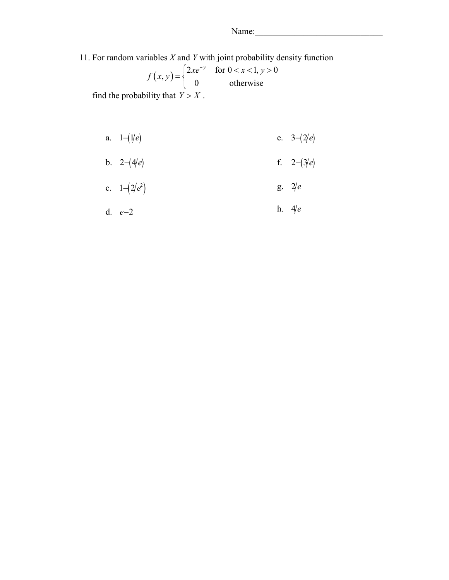11. For random variables  $X$  and  $Y$  with joint probability density function

$$
f(x, y) = \begin{cases} 2xe^{-y} & \text{for } 0 < x < 1, y > 0 \\ 0 & \text{otherwise} \end{cases}
$$

find the probability that  $Y > X$ .

a. 
$$
1-(1/e)
$$
 e.  $3-(2/e)$ 

b. 
$$
2-(4/e)
$$
 f.  $2-(3/e)$ 

c. 
$$
1-(2/e^2)
$$
 g.  $2/e$ 

d. 
$$
e-2
$$
 h.  $4/e$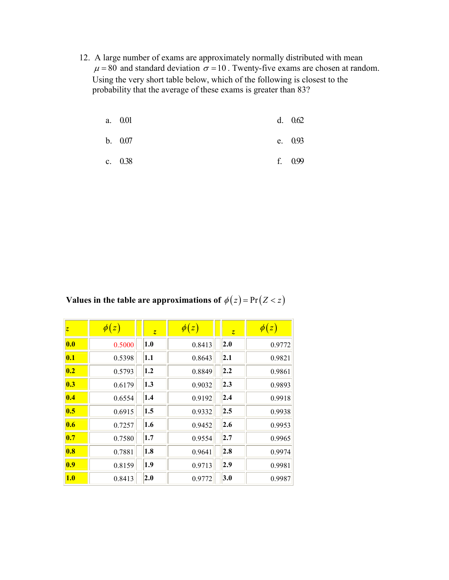12. A large number of exams are approximately normally distributed with mean  $\mu$  = 80 and standard deviation  $\sigma$  = 10. Twenty-five exams are chosen at random. Using the very short table below, which of the following is closest to the probability that the average of these exams is greater than 83?

| a. 0.01 | d. 0.62   |
|---------|-----------|
| b. 0.07 | e. $0.93$ |

c. 0.38 f. 0.99

Values in the table are approximations of  $\phi(z) = Pr(Z < z)$ 

| Z                         | $\phi(z)$ | $\overline{z}$    | $\phi(z)$ | $\overline{z}$ | $\phi(z)$ |
|---------------------------|-----------|-------------------|-----------|----------------|-----------|
| 0.0                       | 0.5000    | 1.0               | 0.8413    | 2.0            | 0.9772    |
| $\overline{\mathbf{0.1}}$ | 0.5398    | 1.1               | 0.8643    | 2.1            | 0.9821    |
| 0.2                       | 0.5793    | 1.2               | 0.8849    | 2.2            | 0.9861    |
| 0.3                       | 0.6179    | $\vert 1.3 \vert$ | 0.9032    | 2.3            | 0.9893    |
| 0.4                       | 0.6554    | 1.4               | 0.9192    | 2.4            | 0.9918    |
| 0.5                       | 0.6915    | 1.5               | 0.9332    | 2.5            | 0.9938    |
| 0.6                       | 0.7257    | 1.6               | 0.9452    | 2.6            | 0.9953    |
| 0.7                       | 0.7580    | 1.7               | 0.9554    | 2.7            | 0.9965    |
| 0.8                       | 0.7881    | 1.8               | 0.9641    | 2.8            | 0.9974    |
| 0.9                       | 0.8159    | 1.9               | 0.9713    | 2.9            | 0.9981    |
| 1.0                       | 0.8413    | 2.0               | 0.9772    | 3.0            | 0.9987    |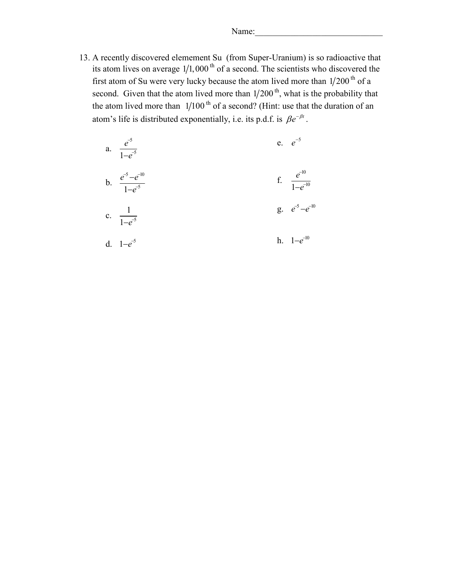Name:

13. A recently discovered elemement Su (from Super-Uranium) is so radioactive that its atom lives on average  $1/1,000$ <sup>th</sup> of a second. The scientists who discovered the first atom of Su were very lucky because the atom lived more than  $1/200$ <sup>th</sup> of a second. Given that the atom lived more than  $1/200$ <sup>th</sup>, what is the probability that the atom lived more than  $1/100$ <sup>th</sup> of a second? (Hint: use that the duration of an atom's life is distributed exponentially, i.e. its p.d.f. is  $\beta e^{-\beta t}$ .

| a. $\frac{e^{-5}}{1-e^{-5}}$         | e. $e^{-5}$                    |
|--------------------------------------|--------------------------------|
| b. $\frac{e^{-5}-e^{-10}}{1-e^{-5}}$ | f. $\frac{e^{-10}}{1-e^{-10}}$ |
| c. $\frac{1}{1-e^{-5}}$              | g. $e^{-5}-e^{-10}$            |
| d. $1-e^{-5}$                        | h. $1-e^{-10}$                 |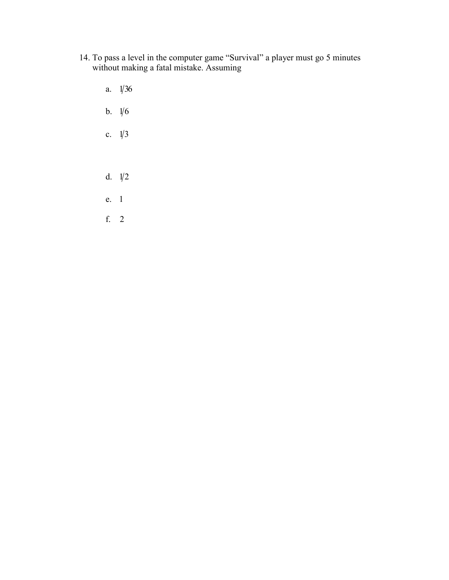- 14. To pass a level in the computer game "Survival" a player must go 5 minutes without making a fatal mistake. Assuming
	- a.  $1/36$ b.  $1/6$ c.  $1/3$ d.  $1/2$ e. 1 f. 2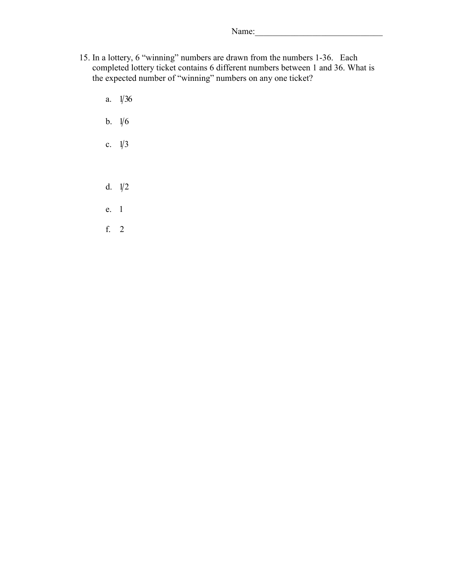- 15. In a lottery, 6 "winning" numbers are drawn from the numbers 1-36. Each completed lottery ticket contains 6 different numbers between 1 and 36. What is the expected number of "winning" numbers on any one ticket?
	- a.  $1/36$ b.  $1/6$ c.  $1/3$
	- d.  $1/2$
	- e. 1
	- f. 2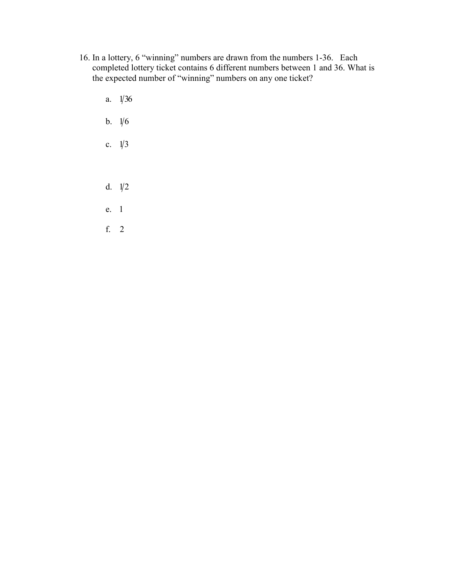- 16. In a lottery, 6 "winning" numbers are drawn from the numbers 1-36. Each completed lottery ticket contains 6 different numbers between 1 and 36. What is the expected number of "winning" numbers on any one ticket?
	- a.  $1/36$ b.  $1/6$
	-
	- c.  $1/3$
	- d.  $1/2$
	- e. 1
	- f. 2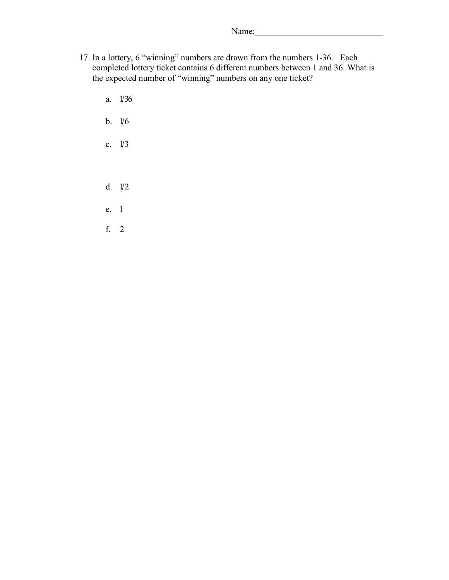- 17. In a lottery, 6 "winning" numbers are drawn from the numbers 1-36. Each completed lottery ticket contains 6 different numbers between 1 and 36. What is the expected number of "winning" numbers on any one ticket?
	- a.  $1/36$ b.  $1/6$ c.  $1/3$
	- d.  $1/2$
	- e. 1
	- f. 2